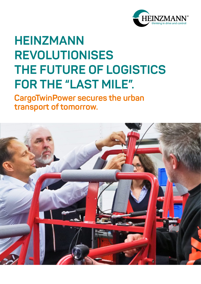

## **HEINZMANN REVOLUTIONISES THE FUTURE OF LOGISTICS FOR THE "LAST MILE".**

**CargoTwinPower secures the urban transport of tomorrow.** 

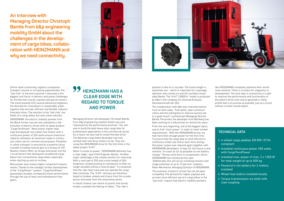Online retail is booming, logistics companies' transport volume is increasing exponentially. The "last mile" to the end customer's doorstep is the biggest cost factor in delivery and poses challenges for the German courier, express and parcel sectors. The trend towards CO2-neutral deliveries heightens the demand for innovations in sustainable urban logistics that are fast, efficient and flexible. Industry forecasts show: The solution to the "last mile" are fleets of e-cargo bikes, but also urban vehicles. HEINZMANN, the electric mobility pioneer from the Black Forest, has set new standards in the evolution of electric drives with its latest product "CargoTwinPower". More power, higher total load and payload: two-wheel hub motors with a continuous power of 250 watts ensure maximum capacity utilisation at maximum loads in continuous urban use for commercial purposes. Flexibility in urban transport is ensured by a powerful drive concept including reverse gear at a torque of 230 Newton meters (Nm); as torque and power are the crucial factors that distinguish exceptional cargo bikes from conventional cargo bikes, especially when starting up and on inclines.

More power also means higher component requirements: Thanks to the strategic further development of the "CargoPower" system, "CargoTwinPower" guarantees durable, unimpaired motor performance through the use of wear and maintenance-free gears.

## **99 HEINZMANN HAS A CLEAR EDGE WITH REGARD TO TORQUE AND POWER.**

**An interview with Managing Director Christoph Bantle from b&p engineering mobility GmbH about the challenges in the development of cargo bikes, collaboration with HEINZMANN and why we need connectivity.**





Managing Director and developer Christoph Bantle from b&p engineering mobility GmbH was also impressed by the performance promise: "Our aim was to build the best heavy-duty cargo bike for professional applications in the commercial sector. As a result, we also had to install the best drive." The Bavarian cargo bikes developer had only worked with mid-drive motors so far. They are using the HEINZMANN drive for the first time in the latest project "A-NT".

When it comes to power, "HEINZMANN definitely has a clear edge", says Chief Engineer Bantle. "Another major advantage is the simple solution for reversing. With a real load of 250 and a total weight of 500 kilograms, simple pushing to manoeuvre is often no longer possible without a reverse gear." It is essential that the rider feels save and can operate the cargo bike intuitively. The "A-NT" vehicles are therefore based on brakes, wheels and chains from the scooter sector and axles from the automotive sector.

- ▶ 4-wheel cargo pedelec EN DIN 15194 compliant
- ▶ Installed continuous power 250 watts with CargoTwinPower
- ▶ Installed max. power of max. 2 x 1350 W for total weight of up to 500 kg
- ▶ Powerful li-ion battery for 2 motors installed
- ▶ Wheel hub motors installed locally
- ▶ Torque transmission via shaft with claw coupling

A robust chassis, low centre of gravity and sturdy brakes complete the feeling of safety. "The rider's

position is like on a city bike: The frame height is extremely low - which is important for a package deliverer who climbs on and off countless times", adds Bantle. The "A-N.T. CARGO:4" model is produced by b&p in the company for Zweirad-Einkaufs-Genossenschaft eG, ZEG.

The collaboration with b&p was characterised by trust on both sides. "Fast paths, open communication and the willingness to improve quickly led to a good result," summarises Managing Director Bantle. Personally, the developer from Bamberg has been working on e-bike drives for almost ten years.

From the very beginning, one of the biggest topics was to find "more power" in order to meet market requirements. "With the HEINZMANN drives, we had more than enough power for the first time." To ensure that the cargo bike is more efficient in continuous urban use and to save more energy, the power output was reduced again together with HEINZMANN developers. A topic for the future is and remains "to travel as far as possible on one battery charge". The key word here is recuperation, which HEINZMANN has introduced this year. "Additionally, this will act as a braking function and range extension of up to 15 percent", explains

Peter Mérimèche, Managing Director of HEINZMANN. The evolution of electric drives has not yet been

completed. The demand for higher payload and an even more efficient use of e-cargo bikes in the "last mile" require that electric mobility pioneers

like HEINZMANN constantly optimise their worldclass solution. There is no place for stagnancy in development. The next step is connectivity in order to improve the performance and functionality of the electric drive train and to generate a riding profile that is as precise as possible, just as a cyclist without a motor would expect.

## TECHNICAL DATA